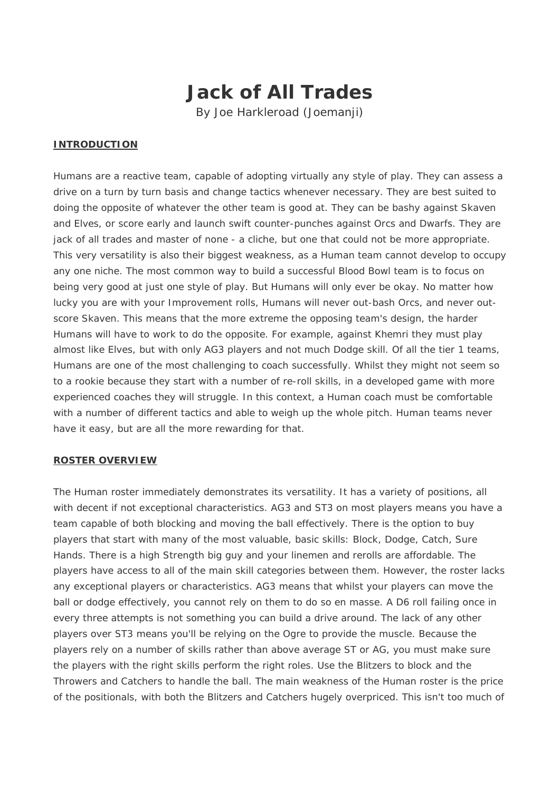# **Jack of All Trades**

By Joe Harkleroad (Joemanji)

## **INTRODUCTION**

Humans are a reactive team, capable of adopting virtually any style of play. They can assess a drive on a turn by turn basis and change tactics whenever necessary. They are best suited to doing the opposite of whatever the other team is good at. They can be bashy against Skaven and Elves, or score early and launch swift counter-punches against Orcs and Dwarfs. They are jack of all trades and master of none - a cliche, but one that could not be more appropriate. This very versatility is also their biggest weakness, as a Human team cannot develop to occupy any one niche. The most common way to build a successful Blood Bowl team is to focus on being very good at just one style of play. But Humans will only ever be okay. No matter how lucky you are with your Improvement rolls, Humans will never out-bash Orcs, and never outscore Skaven. This means that the more extreme the opposing team's design, the harder Humans will have to work to do the opposite. For example, against Khemri they must play almost like Elves, but with only AG3 players and not much Dodge skill. Of all the tier 1 teams, Humans are one of the most challenging to coach successfully. Whilst they might not seem so to a rookie because they start with a number of re-roll skills, in a developed game with more experienced coaches they will struggle. In this context, a Human coach must be comfortable with a number of different tactics and able to weigh up the whole pitch. Human teams never have it easy, but are all the more rewarding for that.

#### **ROSTER OVERVIEW**

The Human roster immediately demonstrates its versatility. It has a variety of positions, all with decent if not exceptional characteristics. AG3 and ST3 on most players means you have a team capable of both blocking and moving the ball effectively. There is the option to buy players that start with many of the most valuable, basic skills: Block, Dodge, Catch, Sure Hands. There is a high Strength big guy and your linemen and rerolls are affordable. The players have access to all of the main skill categories between them. However, the roster lacks any exceptional players or characteristics. AG3 means that whilst your players *can* move the ball or dodge effectively, you cannot rely on them to do so en masse. A D6 roll failing once in every three attempts is not something you can build a drive around. The lack of any other players over ST3 means you'll be relying on the Ogre to provide the muscle. Because the players rely on a number of skills rather than above average ST or AG, you must make sure the players with the right skills perform the right roles. Use the Blitzers to block and the Throwers and Catchers to handle the ball. The main weakness of the Human roster is the price of the positionals, with both the Blitzers and Catchers hugely overpriced. This isn't too much of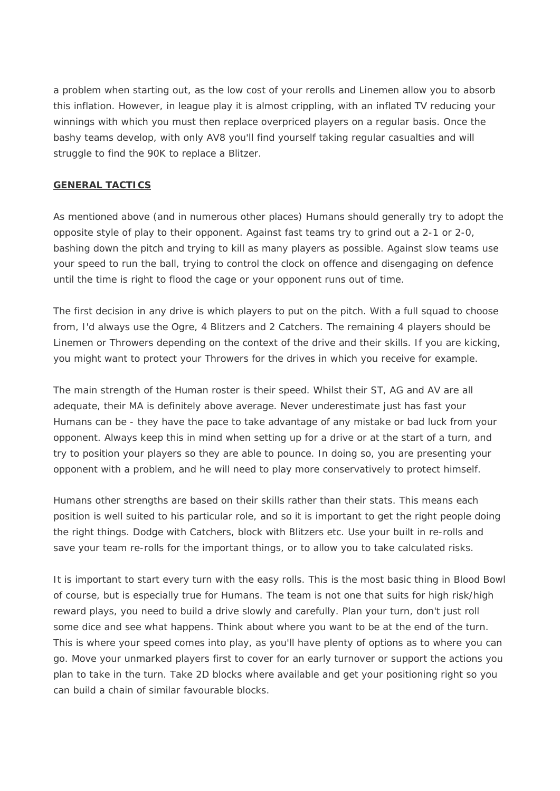a problem when starting out, as the low cost of your rerolls and Linemen allow you to absorb this inflation. However, in league play it is almost crippling, with an inflated TV reducing your winnings with which you must then replace overpriced players on a regular basis. Once the bashy teams develop, with only AV8 you'll find yourself taking regular casualties and will struggle to find the 90K to replace a Blitzer.

# **GENERAL TACTICS**

As mentioned above (and in numerous other places) Humans should generally try to adopt the opposite style of play to their opponent. Against fast teams try to grind out a 2-1 or 2-0, bashing down the pitch and trying to kill as many players as possible. Against slow teams use your speed to run the ball, trying to control the clock on offence and disengaging on defence until the time is right to flood the cage or your opponent runs out of time.

The first decision in any drive is which players to put on the pitch. With a full squad to choose from, I'd always use the Ogre, 4 Blitzers and 2 Catchers. The remaining 4 players should be Linemen or Throwers depending on the context of the drive and their skills. If you are kicking, you might want to protect your Throwers for the drives in which you receive for example.

The main strength of the Human roster is their speed. Whilst their ST, AG and AV are all adequate, their MA is definitely above average. Never underestimate just has fast your Humans can be - they have the pace to take advantage of any mistake or bad luck from your opponent. Always keep this in mind when setting up for a drive or at the start of a turn, and try to position your players so they are able to pounce. In doing so, you are presenting your opponent with a problem, and he will need to play more conservatively to protect himself.

Humans other strengths are based on their skills rather than their stats. This means each position is well suited to his particular role, and so it is important to get the right people doing the right things. Dodge with Catchers, block with Blitzers etc. Use your built in re-rolls and save your team re-rolls for the important things, or to allow you to take calculated risks.

It is important to start every turn with the easy rolls. This is the most basic thing in Blood Bowl of course, but is especially true for Humans. The team is not one that suits for high risk/high reward plays, you need to build a drive slowly and carefully. Plan your turn, don't just roll some dice and see what happens. Think about where you want to be at the end of the turn. This is where your speed comes into play, as you'll have plenty of options as to where you can go. Move your unmarked players first to cover for an early turnover or support the actions you plan to take in the turn. Take 2D blocks where available and get your positioning right so you can build a chain of similar favourable blocks.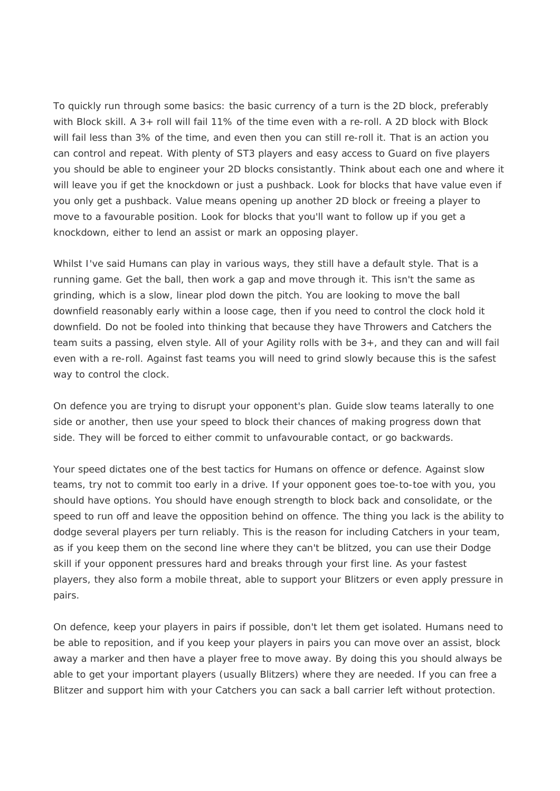To quickly run through some basics: the basic currency of a turn is the 2D block, preferably with Block skill. A 3+ roll will fail 11% of the time even with a re-roll. A 2D block with Block will fail less than 3% of the time, and even then you can still re-roll it. That is an action you can control and repeat. With plenty of ST3 players and easy access to Guard on five players you should be able to engineer your 2D blocks consistantly. Think about each one and where it will leave you if get the knockdown or just a pushback. Look for blocks that have value even if you only get a pushback. Value means opening up another 2D block or freeing a player to move to a favourable position. Look for blocks that you'll want to follow up if you get a knockdown, either to lend an assist or mark an opposing player.

Whilst I've said Humans can play in various ways, they still have a default style. That is a running game. Get the ball, then work a gap and move through it. This isn't the same as grinding, which is a slow, linear plod down the pitch. You are looking to move the ball downfield reasonably early within a loose cage, then if you need to control the clock hold it downfield. Do not be fooled into thinking that because they have Throwers and Catchers the team suits a passing, elven style. All of your Agility rolls with be 3+, and they can and will fail even with a re-roll. Against fast teams you will need to grind slowly because this is the safest way to control the clock.

On defence you are trying to disrupt your opponent's plan. Guide slow teams laterally to one side or another, then use your speed to block their chances of making progress down that side. They will be forced to either commit to unfavourable contact, or go backwards.

Your speed dictates one of the best tactics for Humans on offence or defence. Against slow teams, try not to commit too early in a drive. If your opponent goes toe-to-toe with you, you should have options. You should have enough strength to block back and consolidate, or the speed to run off and leave the opposition behind on offence. The thing you lack is the ability to dodge several players per turn reliably. This is the reason for including Catchers in your team, as if you keep them on the second line where they can't be blitzed, you can use their Dodge skill if your opponent pressures hard and breaks through your first line. As your fastest players, they also form a mobile threat, able to support your Blitzers or even apply pressure in pairs.

On defence, keep your players in pairs if possible, don't let them get isolated. Humans need to be able to reposition, and if you keep your players in pairs you can move over an assist, block away a marker and then have a player free to move away. By doing this you should always be able to get your important players (usually Blitzers) where they are needed. If you can free a Blitzer and support him with your Catchers you can sack a ball carrier left without protection.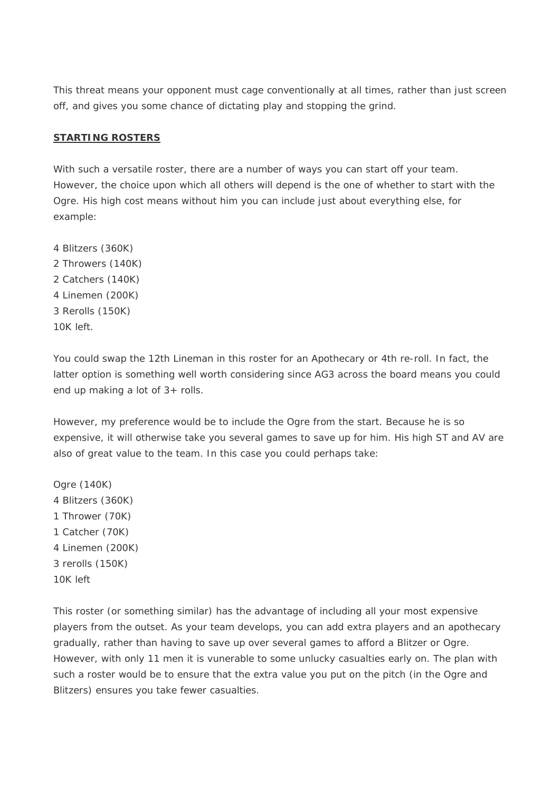This threat means your opponent must cage conventionally at all times, rather than just screen off, and gives you some chance of dictating play and stopping the grind.

# **STARTING ROSTERS**

With such a versatile roster, there are a number of ways you can start off your team. However, the choice upon which all others will depend is the one of whether to start with the Ogre. His high cost means without him you can include just about everything else, for example:

4 Blitzers (360K) 2 Throwers (140K) 2 Catchers (140K) 4 Linemen (200K) 3 Rerolls (150K) 10K left.

You could swap the 12th Lineman in this roster for an Apothecary or 4th re-roll. In fact, the latter option is something well worth considering since AG3 across the board means you could end up making a lot of 3+ rolls.

However, my preference would be to include the Ogre from the start. Because he is so expensive, it will otherwise take you several games to save up for him. His high ST and AV are also of great value to the team. In this case you could perhaps take:

Ogre (140K) 4 Blitzers (360K) 1 Thrower (70K) 1 Catcher (70K) 4 Linemen (200K) 3 rerolls (150K) 10K left

This roster (or something similar) has the advantage of including all your most expensive players from the outset. As your team develops, you can add extra players and an apothecary gradually, rather than having to save up over several games to afford a Blitzer or Ogre. However, with only 11 men it is vunerable to some unlucky casualties early on. The plan with such a roster would be to ensure that the extra value you put on the pitch (in the Ogre and Blitzers) ensures you take fewer casualties.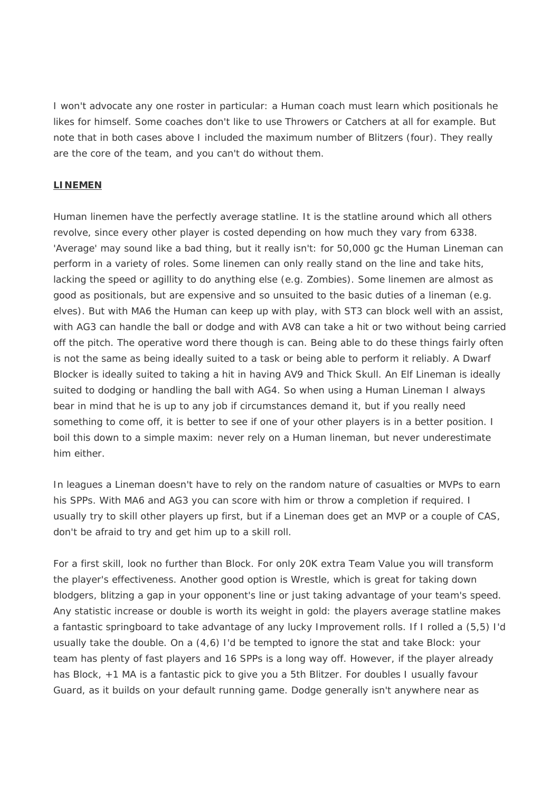I won't advocate any one roster in particular: a Human coach must learn which positionals he likes for himself. Some coaches don't like to use Throwers or Catchers at all for example. But note that in both cases above I included the maximum number of Blitzers (four). They really are the core of the team, and you can't do without them.

#### **LINEMEN**

Human linemen have the perfectly average statline. It is the statline around which all others revolve, since every other player is costed depending on how much they vary from 6338. 'Average' may sound like a bad thing, but it really isn't: for 50,000 gc the Human Lineman can perform in a variety of roles. Some linemen can only really stand on the line and take hits, lacking the speed or agillity to do anything else (e.g. Zombies). Some linemen are almost as good as positionals, but are expensive and so unsuited to the basic duties of a lineman (e.g. elves). But with MA6 the Human can keep up with play, with ST3 can block well with an assist, with AG3 can handle the ball or dodge and with AV8 can take a hit or two without being carried off the pitch. The operative word there though is *can*. Being able to do these things fairly often is not the same as being ideally suited to a task or being able to perform it reliably. A Dwarf Blocker is ideally suited to taking a hit in having AV9 and Thick Skull. An Elf Lineman is ideally suited to dodging or handling the ball with AG4. So when using a Human Lineman I always bear in mind that he is up to any job if circumstances demand it, but if you really need something to come off, it is better to see if one of your other players is in a better position. I boil this down to a simple maxim: never rely on a Human lineman, but never underestimate him either.

In leagues a Lineman doesn't have to rely on the random nature of casualties or MVPs to earn his SPPs. With MA6 and AG3 you can score with him or throw a completion if required. I usually try to skill other players up first, but if a Lineman does get an MVP or a couple of CAS, don't be afraid to try and get him up to a skill roll.

For a first skill, look no further than Block. For only 20K extra Team Value you will transform the player's effectiveness. Another good option is Wrestle, which is great for taking down blodgers, blitzing a gap in your opponent's line or just taking advantage of your team's speed. Any statistic increase or double is worth its weight in gold: the players average statline makes a fantastic springboard to take advantage of any lucky Improvement rolls. If I rolled a (5,5) I'd usually take the double. On a (4,6) I'd be tempted to ignore the stat and take Block: your team has plenty of fast players and 16 SPPs is a long way off. However, if the player already has Block, +1 MA is a fantastic pick to give you a 5th Blitzer. For doubles I usually favour Guard, as it builds on your default running game. Dodge generally isn't anywhere near as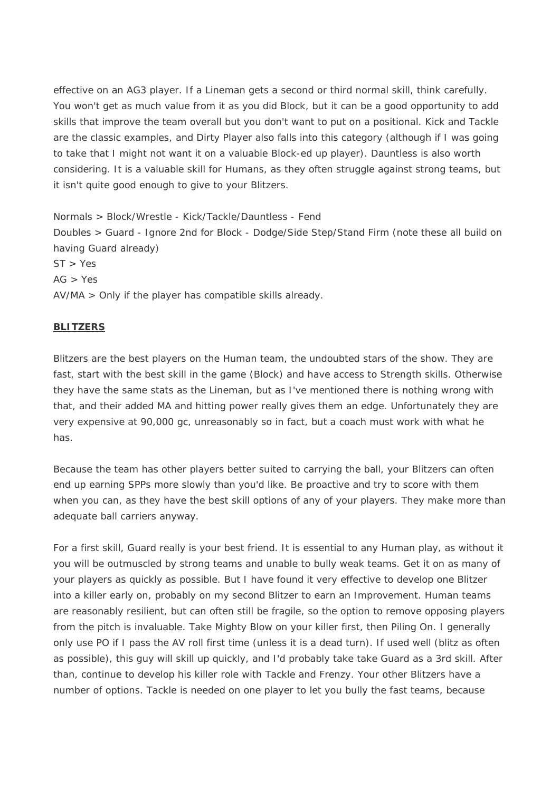effective on an AG3 player. If a Lineman gets a second or third normal skill, think carefully. You won't get as much value from it as you did Block, but it can be a good opportunity to add skills that improve the team overall but you don't want to put on a positional. Kick and Tackle are the classic examples, and Dirty Player also falls into this category (although if I was going to take that I might not want it on a valuable Block-ed up player). Dauntless is also worth considering. It is a valuable skill for Humans, as they often struggle against strong teams, but it isn't *quite* good enough to give to your Blitzers.

Normals > Block/Wrestle - Kick/Tackle/Dauntless - Fend Doubles > Guard - Ignore 2nd for Block - Dodge/Side Step/Stand Firm *(note these all build on having Guard already)*  $ST > Yes$  $AG > Yes$ AV/MA > Only if the player has compatible skills already.

## **BLITZERS**

Blitzers are the best players on the Human team, the undoubted stars of the show. They are fast, start with the best skill in the game (Block) and have access to Strength skills. Otherwise they have the same stats as the Lineman, but as I've mentioned there is nothing wrong with that, and their added MA and hitting power really gives them an edge. Unfortunately they are very expensive at 90,000 gc, unreasonably so in fact, but a coach must work with what he has.

Because the team has other players better suited to carrying the ball, your Blitzers can often end up earning SPPs more slowly than you'd like. Be proactive and try to score with them when you can, as they have the best skill options of any of your players. They make more than adequate ball carriers anyway.

For a first skill, Guard really is your best friend. It is essential to any Human play, as without it you will be outmuscled by strong teams and unable to bully weak teams. Get it on as many of your players as quickly as possible. But I have found it very effective to develop one Blitzer into a killer early on, probably on my second Blitzer to earn an Improvement. Human teams are reasonably resilient, but can often still be fragile, so the option to remove opposing players from the pitch is invaluable. Take Mighty Blow on your killer first, then Piling On. I generally only use PO if I pass the AV roll first time (unless it is a dead turn). If used well (blitz as often as possible), this guy will skill up quickly, and I'd probably take take Guard as a 3rd skill. After than, continue to develop his killer role with Tackle and Frenzy. Your other Blitzers have a number of options. Tackle is needed on one player to let you bully the fast teams, because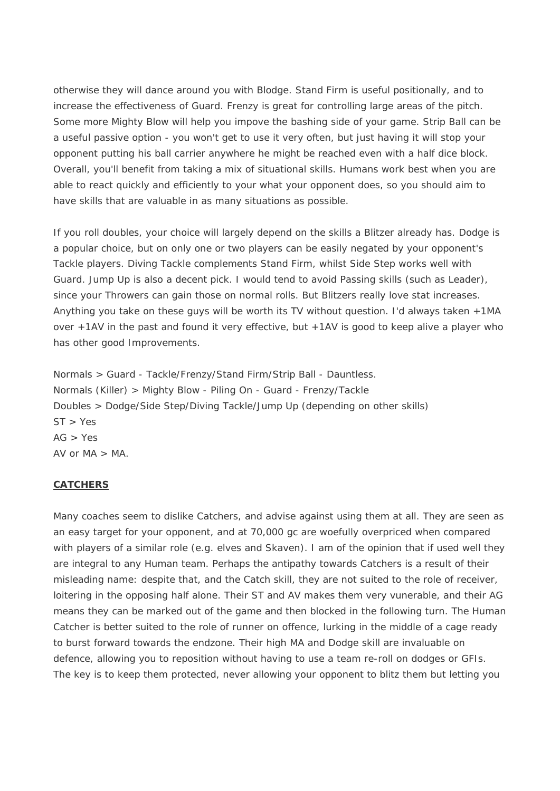otherwise they will dance around you with Blodge. Stand Firm is useful positionally, and to increase the effectiveness of Guard. Frenzy is great for controlling large areas of the pitch. Some more Mighty Blow will help you impove the bashing side of your game. Strip Ball can be a useful passive option - you won't get to use it very often, but just having it will stop your opponent putting his ball carrier anywhere he might be reached even with a half dice block. Overall, you'll benefit from taking a mix of situational skills. Humans work best when you are able to react quickly and efficiently to your what your opponent does, so you should aim to have skills that are valuable in as many situations as possible.

If you roll doubles, your choice will largely depend on the skills a Blitzer already has. Dodge is a popular choice, but on only one or two players can be easily negated by your opponent's Tackle players. Diving Tackle complements Stand Firm, whilst Side Step works well with Guard. Jump Up is also a decent pick. I would tend to avoid Passing skills (such as Leader), since your Throwers can gain those on normal rolls. But Blitzers really love stat increases. Anything you take on these guys will be worth its TV without question. I'd always taken +1MA over +1AV in the past and found it very effective, but +1AV is good to keep alive a player who has other good Improvements.

Normals > Guard - Tackle/Frenzy/Stand Firm/Strip Ball - Dauntless. Normals (Killer) > Mighty Blow - Piling On - Guard - Frenzy/Tackle Doubles > Dodge/Side Step/Diving Tackle/Jump Up *(depending on other skills)*  $ST > Yes$  $AG > Yes$ AV or  $MA > MA$ .

#### **CATCHERS**

Many coaches seem to dislike Catchers, and advise against using them at all. They are seen as an easy target for your opponent, and at 70,000 gc are woefully overpriced when compared with players of a similar role (e.g. elves and Skaven). I am of the opinion that if used well they are integral to any Human team. Perhaps the antipathy towards Catchers is a result of their misleading name: despite that, and the Catch skill, they are not suited to the role of receiver, loitering in the opposing half alone. Their ST and AV makes them very vunerable, and their AG means they can be marked out of the game and then blocked in the following turn. The Human Catcher is better suited to the role of runner on offence, lurking in the middle of a cage ready to burst forward towards the endzone. Their high MA and Dodge skill are invaluable on defence, allowing you to reposition without having to use a team re-roll on dodges or GFIs. The key is to keep them protected, never allowing your opponent to blitz them but letting you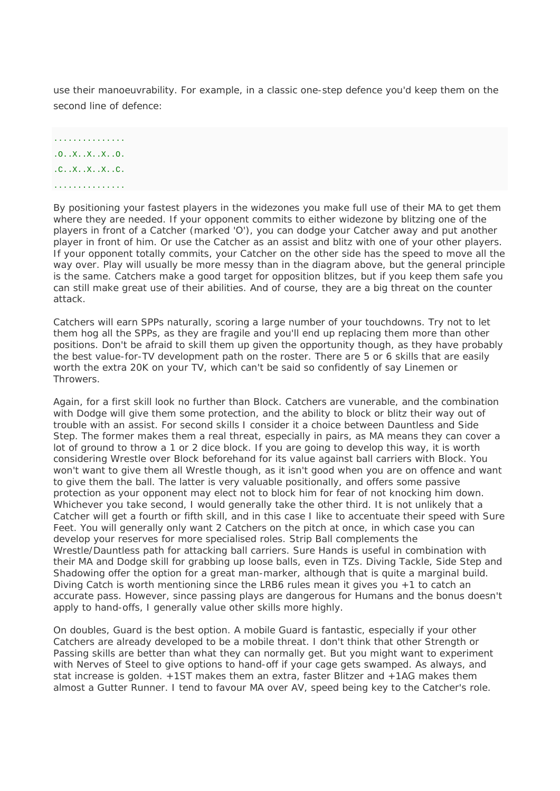use their manoeuvrability. For example, in a classic one-step defence you'd keep them on the second line of defence:

............... .O..X..X..X..O. .C..X..X..X..C. ...............

By positioning your fastest players in the widezones you make full use of their MA to get them where they are needed. If your opponent commits to either widezone by blitzing one of the players in front of a Catcher (marked 'O'), you can dodge your Catcher away and put another player in front of him. Or use the Catcher as an assist and blitz with one of your other players. If your opponent totally commits, your Catcher on the other side has the speed to move all the way over. Play will usually be more messy than in the diagram above, but the general principle is the same. Catchers make a good target for opposition blitzes, but if you keep them safe you can still make great use of their abilities. And of course, they are a big threat on the counter attack.

Catchers will earn SPPs naturally, scoring a large number of your touchdowns. Try not to let them hog all the SPPs, as they are fragile and you'll end up replacing them more than other positions. Don't be afraid to skill them up given the opportunity though, as they have probably the best value-for-TV development path on the roster. There are 5 or 6 skills that are easily worth the extra 20K on your TV, which can't be said so confidently of say Linemen or Throwers.

Again, for a first skill look no further than Block. Catchers are vunerable, and the combination with Dodge will give them some protection, and the ability to block or blitz their way out of trouble with an assist. For second skills I consider it a choice between Dauntless and Side Step. The former makes them a real threat, especially in pairs, as MA means they can cover a lot of ground to throw a 1 or 2 dice block. If you are going to develop this way, it is worth considering Wrestle over Block beforehand for its value against ball carriers with Block. You won't want to give them all Wrestle though, as it isn't good when you are on offence and want to give them the ball. The latter is very valuable positionally, and offers some passive protection as your opponent may elect not to block him for fear of not knocking him down. Whichever you take second, I would generally take the other third. It is not unlikely that a Catcher will get a fourth or fifth skill, and in this case I like to accentuate their speed with Sure Feet. You will generally only want 2 Catchers on the pitch at once, in which case you can develop your reserves for more specialised roles. Strip Ball complements the Wrestle/Dauntless path for attacking ball carriers. Sure Hands is useful in combination with their MA and Dodge skill for grabbing up loose balls, even in TZs. Diving Tackle, Side Step and Shadowing offer the option for a great man-marker, although that is quite a marginal build. Diving Catch is worth mentioning since the LRB6 rules mean it gives you +1 to catch an accurate pass. However, since passing plays are dangerous for Humans and the bonus doesn't apply to hand-offs, I generally value other skills more highly.

On doubles, Guard is the best option. A mobile Guard is fantastic, especially if your other Catchers are already developed to be a mobile threat. I don't think that other Strength or Passing skills are better than what they can normally get. But you might want to experiment with Nerves of Steel to give options to hand-off if your cage gets swamped. As always, and stat increase is golden. +1ST makes them an extra, faster Blitzer and +1AG makes them almost a Gutter Runner. I tend to favour MA over AV, speed being key to the Catcher's role.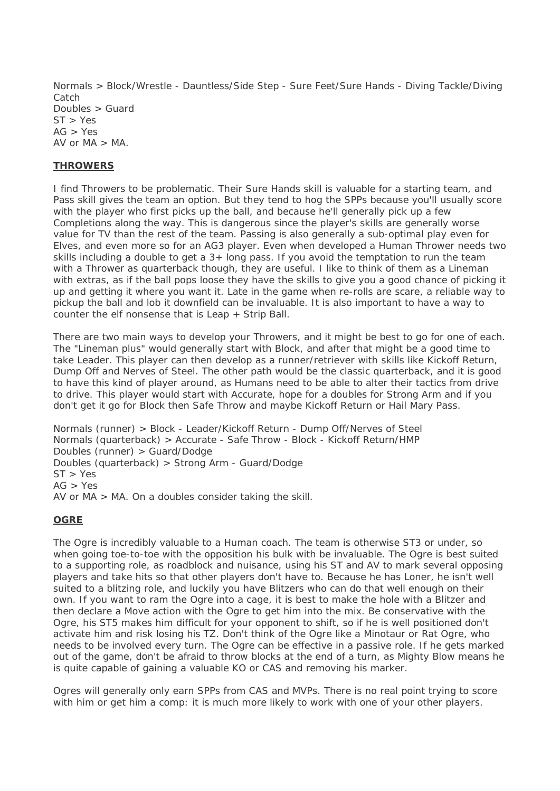Normals > Block/Wrestle - Dauntless/Side Step - Sure Feet/Sure Hands - Diving Tackle/Diving Catch Doubles > Guard ST > Yes  $AG > Yes$ AV or  $MA > MA$ .

## **THROWERS**

I find Throwers to be problematic. Their Sure Hands skill is valuable for a starting team, and Pass skill gives the team an option. But they tend to hog the SPPs because you'll usually score with the player who first picks up the ball, and because he'll generally pick up a few Completions along the way. This is dangerous since the player's skills are generally worse value for TV than the rest of the team. Passing is also generally a sub-optimal play even for Elves, and even more so for an AG3 player. Even when developed a Human Thrower needs two skills including a double to get a 3+ long pass. If you avoid the temptation to run the team with a Thrower as quarterback though, they are useful. I like to think of them as a Lineman with extras, as if the ball pops loose they have the skills to give you a good chance of picking it up and getting it where you want it. Late in the game when re-rolls are scare, a reliable way to pickup the ball and lob it downfield can be invaluable. It is also important to have a way to counter the elf nonsense that is Leap + Strip Ball.

There are two main ways to develop your Throwers, and it might be best to go for one of each. The "Lineman plus" would generally start with Block, and after that might be a good time to take Leader. This player can then develop as a runner/retriever with skills like Kickoff Return, Dump Off and Nerves of Steel. The other path would be the classic quarterback, and it is good to have this kind of player around, as Humans need to be able to alter their tactics from drive to drive. This player would start with Accurate, hope for a doubles for Strong Arm and if you don't get it go for Block then Safe Throw and maybe Kickoff Return or Hail Mary Pass.

Normals (runner) > Block - Leader/Kickoff Return - Dump Off/Nerves of Steel Normals (quarterback) > Accurate - Safe Throw - Block - Kickoff Return/HMP Doubles (runner) > Guard/Dodge Doubles (quarterback) > Strong Arm - Guard/Dodge  $ST > Yes$  $AG > Yes$ AV or MA > MA. On a doubles consider taking the skill.

#### **OGRE**

The Ogre is incredibly valuable to a Human coach. The team is otherwise ST3 or under, so when going toe-to-toe with the opposition his bulk with be invaluable. The Ogre is best suited to a supporting role, as roadblock and nuisance, using his ST and AV to mark several opposing players and take hits so that other players don't have to. Because he has Loner, he isn't well suited to a blitzing role, and luckily you have Blitzers who can do that well enough on their own. If you want to ram the Ogre into a cage, it is best to make the hole with a Blitzer and then declare a Move action with the Ogre to get him into the mix. Be conservative with the Ogre, his ST5 makes him difficult for your opponent to shift, so if he is well positioned don't activate him and risk losing his TZ. Don't think of the Ogre like a Minotaur or Rat Ogre, who needs to be involved every turn. The Ogre can be effective in a passive role. If he gets marked out of the game, don't be afraid to throw blocks at the end of a turn, as Mighty Blow means he is quite capable of gaining a valuable KO or CAS and removing his marker.

Ogres will generally only earn SPPs from CAS and MVPs. There is no real point trying to score with him or get him a comp: it is much more likely to work with one of your other players.